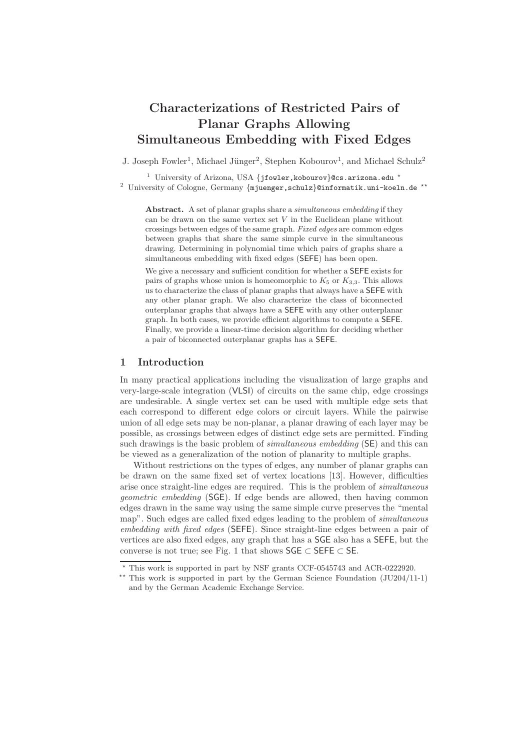# Characterizations of Restricted Pairs of Planar Graphs Allowing Simultaneous Embedding with Fixed Edges

J. Joseph Fowler<sup>1</sup>, Michael Jünger<sup>2</sup>, Stephen Kobourov<sup>1</sup>, and Michael Schulz<sup>2</sup>

<sup>1</sup> University of Arizona, USA {jfowler, kobourov}@cs.arizona.edu<sup>,</sup> <sup>2</sup> University of Cologne, Germany {mjuenger, schulz}@informatik.uni-koeln.de <sup>\*\*</sup>

Abstract. A set of planar graphs share a simultaneous embedding if they can be drawn on the same vertex set  $V$  in the Euclidean plane without crossings between edges of the same graph. Fixed edges are common edges between graphs that share the same simple curve in the simultaneous drawing. Determining in polynomial time which pairs of graphs share a simultaneous embedding with fixed edges (SEFE) has been open.

We give a necessary and sufficient condition for whether a SEFE exists for pairs of graphs whose union is homeomorphic to  $K_5$  or  $K_{3,3}$ . This allows us to characterize the class of planar graphs that always have a SEFE with any other planar graph. We also characterize the class of biconnected outerplanar graphs that always have a SEFE with any other outerplanar graph. In both cases, we provide efficient algorithms to compute a SEFE. Finally, we provide a linear-time decision algorithm for deciding whether a pair of biconnected outerplanar graphs has a SEFE.

## 1 Introduction

In many practical applications including the visualization of large graphs and very-large-scale integration (VLSI) of circuits on the same chip, edge crossings are undesirable. A single vertex set can be used with multiple edge sets that each correspond to different edge colors or circuit layers. While the pairwise union of all edge sets may be non-planar, a planar drawing of each layer may be possible, as crossings between edges of distinct edge sets are permitted. Finding such drawings is the basic problem of *simultaneous embedding* (SE) and this can be viewed as a generalization of the notion of planarity to multiple graphs.

Without restrictions on the types of edges, any number of planar graphs can be drawn on the same fixed set of vertex locations [13]. However, difficulties arise once straight-line edges are required. This is the problem of simultaneous geometric embedding (SGE). If edge bends are allowed, then having common edges drawn in the same way using the same simple curve preserves the "mental map". Such edges are called fixed edges leading to the problem of *simultaneous* embedding with fixed edges (SEFE). Since straight-line edges between a pair of vertices are also fixed edges, any graph that has a SGE also has a SEFE, but the converse is not true; see Fig. 1 that shows  $\mathsf{SGE} \subset \mathsf{SEFE} \subset \mathsf{SE}.$ 

<sup>⋆</sup> This work is supported in part by NSF grants CCF-0545743 and ACR-0222920.

<sup>\*\*</sup> This work is supported in part by the German Science Foundation (JU204/11-1) and by the German Academic Exchange Service.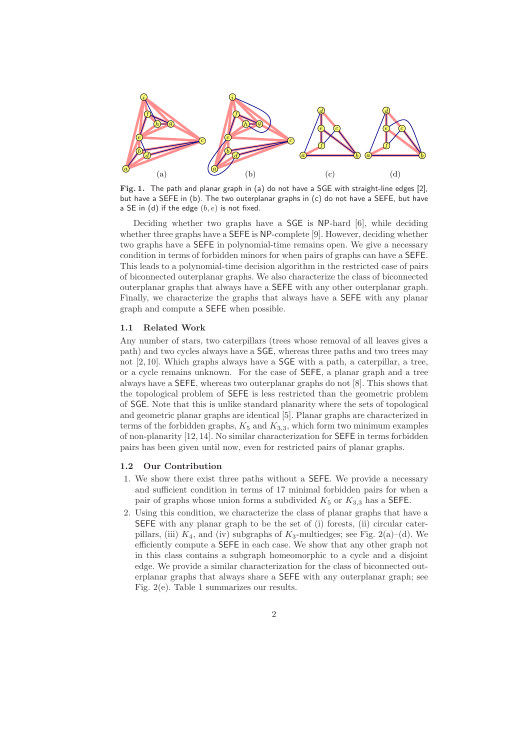

Fig. 1. The path and planar graph in (a) do not have a SGE with straight-line edges [2], but have a SEFE in (b). The two outerplanar graphs in (c) do not have a SEFE, but have a SE in (d) if the edge  $(b, e)$  is not fixed.

Deciding whether two graphs have a SGE is NP-hard [6], while deciding whether three graphs have a SEFE is NP-complete [9]. However, deciding whether two graphs have a SEFE in polynomial-time remains open. We give a necessary condition in terms of forbidden minors for when pairs of graphs can have a SEFE. This leads to a polynomial-time decision algorithm in the restricted case of pairs of biconnected outerplanar graphs. We also characterize the class of biconnected outerplanar graphs that always have a SEFE with any other outerplanar graph. Finally, we characterize the graphs that always have a SEFE with any planar graph and compute a SEFE when possible.

## 1.1 Related Work

Any number of stars, two caterpillars (trees whose removal of all leaves gives a path) and two cycles always have a SGE, whereas three paths and two trees may not [2, 10]. Which graphs always have a SGE with a path, a caterpillar, a tree, or a cycle remains unknown. For the case of SEFE, a planar graph and a tree always have a SEFE, whereas two outerplanar graphs do not [8]. This shows that the topological problem of SEFE is less restricted than the geometric problem of SGE. Note that this is unlike standard planarity where the sets of topological and geometric planar graphs are identical [5]. Planar graphs are characterized in terms of the forbidden graphs,  $K_5$  and  $K_{3,3}$ , which form two minimum examples of non-planarity [12, 14]. No similar characterization for SEFE in terms forbidden pairs has been given until now, even for restricted pairs of planar graphs.

#### 1.2 Our Contribution

- 1. We show there exist three paths without a SEFE. We provide a necessary and sufficient condition in terms of 17 minimal forbidden pairs for when a pair of graphs whose union forms a subdivided  $K_5$  or  $K_{3,3}$  has a SEFE.
- 2. Using this condition, we characterize the class of planar graphs that have a SEFE with any planar graph to be the set of (i) forests, (ii) circular caterpillars, (iii)  $K_4$ , and (iv) subgraphs of  $K_3$ -multiedges; see Fig. 2(a)–(d). We efficiently compute a SEFE in each case. We show that any other graph not in this class contains a subgraph homeomorphic to a cycle and a disjoint edge. We provide a similar characterization for the class of biconnected outerplanar graphs that always share a SEFE with any outerplanar graph; see Fig. 2(e). Table 1 summarizes our results.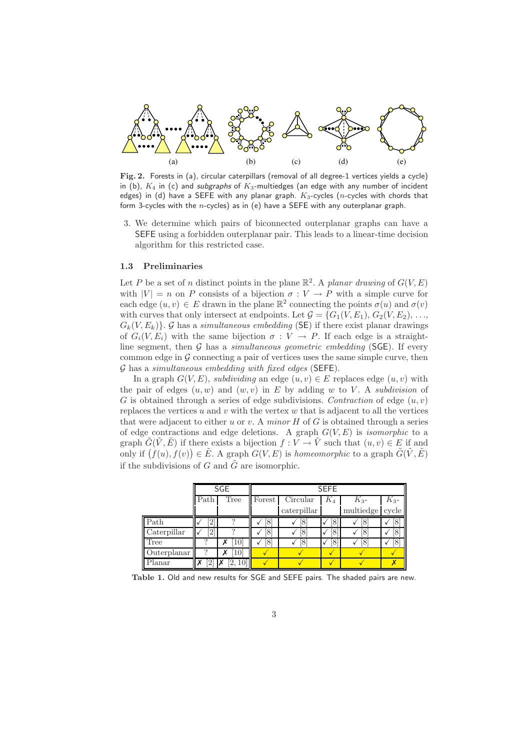

Fig. 2. Forests in (a), circular caterpillars (removal of all degree-1 vertices yields a cycle) in (b),  $K_4$  in (c) and subgraphs of  $K_3$ -multiedges (an edge with any number of incident edges) in (d) have a SEFE with any planar graph.  $K_3$ -cycles (n-cycles with chords that form 3-cycles with the  $n$ -cycles) as in (e) have a SEFE with any outerplanar graph.

3. We determine which pairs of biconnected outerplanar graphs can have a SEFE using a forbidden outerplanar pair. This leads to a linear-time decision algorithm for this restricted case.

#### 1.3 Preliminaries

Let P be a set of n distinct points in the plane  $\mathbb{R}^2$ . A planar drawing of  $G(V, E)$ with  $|V| = n$  on P consists of a bijection  $\sigma : V \to P$  with a simple curve for each edge  $(u, v) \in E$  drawn in the plane  $\mathbb{R}^2$  connecting the points  $\sigma(u)$  and  $\sigma(v)$ with curves that only intersect at endpoints. Let  $\mathcal{G} = \{G_1(V, E_1), G_2(V, E_2), \ldots\}$  $G_k(V, E_k)$ . G has a simultaneous embedding (SE) if there exist planar drawings of  $G_i(V, E_i)$  with the same bijection  $\sigma: V \to P$ . If each edge is a straightline segment, then  $\mathcal G$  has a *simultaneous geometric embedding* (SGE). If every common edge in  $\mathcal G$  connecting a pair of vertices uses the same simple curve, then  $G$  has a simultaneous embedding with fixed edges (SEFE).

In a graph  $G(V, E)$ , subdividing an edge  $(u, v) \in E$  replaces edge  $(u, v)$  with the pair of edges  $(u, w)$  and  $(w, v)$  in E by adding w to V. A subdivision of G is obtained through a series of edge subdivisions. Contraction of edge  $(u, v)$ replaces the vertices  $u$  and  $v$  with the vertex  $w$  that is adjacent to all the vertices that were adjacent to either u or v. A minor H of G is obtained through a series of edge contractions and edge deletions. A graph  $G(V, E)$  is *isomorphic* to a graph  $\tilde{G}(\tilde{V}, \tilde{E})$  if there exists a bijection  $f : V \to \tilde{V}$  such that  $(u, v) \in E$  if and only if  $(f(u), f(v)) \in \tilde{E}$ . A graph  $G(V, E)$  is homeomorphic to a graph  $\tilde{G}(\tilde{V}, \tilde{E})$ if the subdivisions of G and  $\tilde{G}$  are isomorphic.

|             | <b>SGE</b> |      | <b>SEFE</b> |             |       |                                     |                |
|-------------|------------|------|-------------|-------------|-------|-------------------------------------|----------------|
|             | Path       | Tree | Forest      | Circular    | $K_4$ | $K_{3}$ -                           | $K_{3}$ -      |
|             |            |      |             | caterpillar |       | $\operatorname{multiedge}\nolimits$ | cycle          |
| Path        | $^{[2]}$   |      | 8           |             | 8     |                                     | $8^{\circ}$    |
| Caterpillar | $^{[2]}$   |      |             |             | 8     |                                     | 8              |
| Tree        | っ          | 10   |             |             | 8     |                                     | 8 <sup>1</sup> |
| Outerplanar | 9          | 10   |             |             |       |                                     |                |
| Planar      | '2         |      |             |             |       |                                     |                |

Table 1. Old and new results for SGE and SEFE pairs. The shaded pairs are new.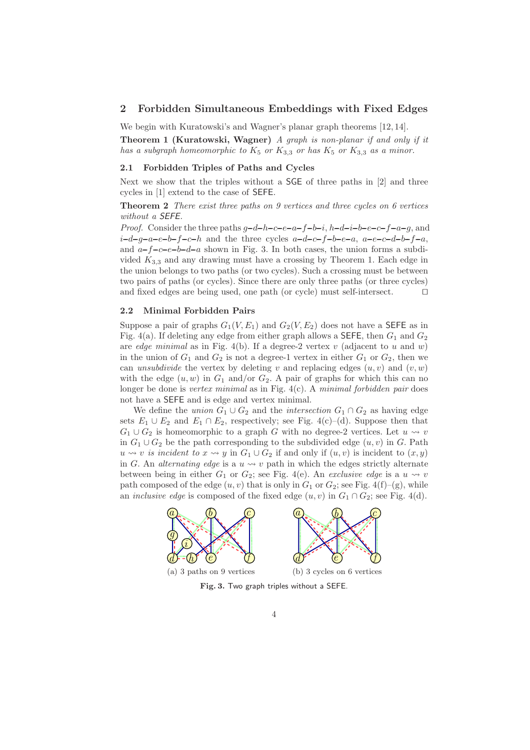## 2 Forbidden Simultaneous Embeddings with Fixed Edges

We begin with Kuratowski's and Wagner's planar graph theorems [12, 14].

Theorem 1 (Kuratowski, Wagner) A graph is non-planar if and only if it has a subgraph homeomorphic to  $K_5$  or  $K_{3,3}$  or has  $K_5$  or  $K_{3,3}$  as a minor.

## 2.1 Forbidden Triples of Paths and Cycles

Next we show that the triples without a SGE of three paths in [2] and three cycles in [1] extend to the case of SEFE.

**Theorem 2** There exist three paths on 9 vertices and three cycles on 6 vertices without a SEFE.

*Proof.* Consider the three paths  $g-d-h-c-e-a-f-b-i$ ,  $h-d-i-b-e-c-f-a-g$ , and  $i-d-g-a-e-b-f-c-h$  and the three cycles  $a-d-c-f-b-e-a$ ,  $a-e-c-d-b-f-a$ , and  $a-f-c-e-b-d-a$  shown in Fig. 3. In both cases, the union forms a subdivided  $K_{3,3}$  and any drawing must have a crossing by Theorem 1. Each edge in the union belongs to two paths (or two cycles). Such a crossing must be between two pairs of paths (or cycles). Since there are only three paths (or three cycles) and fixed edges are being used, one path (or cycle) must self-intersect. ⊓⊔

#### 2.2 Minimal Forbidden Pairs

Suppose a pair of graphs  $G_1(V, E_1)$  and  $G_2(V, E_2)$  does not have a SEFE as in Fig. 4(a). If deleting any edge from either graph allows a SEFE, then  $G_1$  and  $G_2$ are *edge minimal* as in Fig. 4(b). If a degree-2 vertex v (adjacent to u and w) in the union of  $G_1$  and  $G_2$  is not a degree-1 vertex in either  $G_1$  or  $G_2$ , then we can unsubdivide the vertex by deleting v and replacing edges  $(u, v)$  and  $(v, w)$ with the edge  $(u, w)$  in  $G_1$  and/or  $G_2$ . A pair of graphs for which this can no longer be done is vertex minimal as in Fig.  $4(c)$ . A minimal forbidden pair does not have a SEFE and is edge and vertex minimal.

We define the *union*  $G_1 \cup G_2$  and the *intersection*  $G_1 \cap G_2$  as having edge sets  $E_1 \cup E_2$  and  $E_1 \cap E_2$ , respectively; see Fig. 4(c)–(d). Suppose then that  $G_1 \cup G_2$  is homeomorphic to a graph G with no degree-2 vertices. Let  $u \leadsto v$ in  $G_1 \cup G_2$  be the path corresponding to the subdivided edge  $(u, v)$  in G. Path  $u \rightsquigarrow v$  is incident to  $x \rightsquigarrow y$  in  $G_1 \cup G_2$  if and only if  $(u, v)$  is incident to  $(x, y)$ in G. An *alternating edge* is a  $u \leftrightarrow v$  path in which the edges strictly alternate between being in either  $G_1$  or  $G_2$ ; see Fig. 4(e). An *exclusive edge* is a  $u \rightsquigarrow v$ path composed of the edge  $(u, v)$  that is only in  $G_1$  or  $G_2$ ; see Fig. 4(f)–(g), while an *inclusive edge* is composed of the fixed edge  $(u, v)$  in  $G_1 \cap G_2$ ; see Fig. 4(d).



Fig. 3. Two graph triples without a SEFE.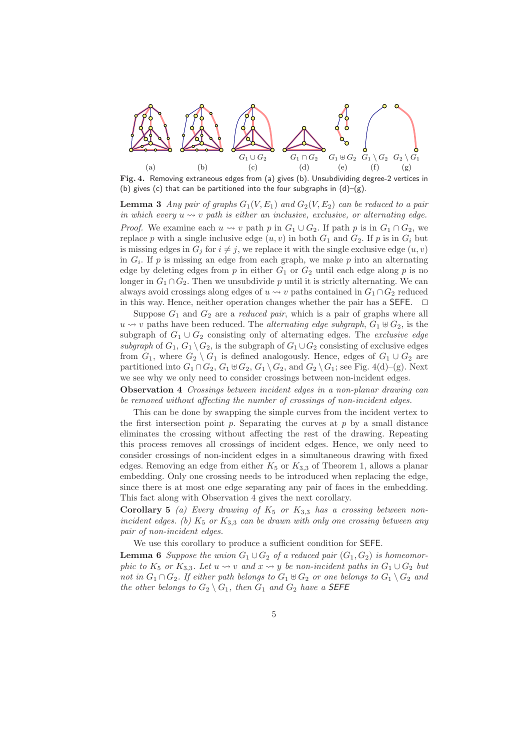

Fig. 4. Removing extraneous edges from (a) gives (b). Unsubdividing degree-2 vertices in (b) gives (c) that can be partitioned into the four subgraphs in  $(d)$ – $(g)$ .

**Lemma 3** Any pair of graphs  $G_1(V, E_1)$  and  $G_2(V, E_2)$  can be reduced to a pair in which every  $u \rightarrow v$  path is either an inclusive, exclusive, or alternating edge. *Proof.* We examine each  $u \rightsquigarrow v$  path p in  $G_1 \cup G_2$ . If path p is in  $G_1 \cap G_2$ , we replace p with a single inclusive edge  $(u, v)$  in both  $G_1$  and  $G_2$ . If p is in  $G_i$  but is missing edges in  $G_i$  for  $i \neq j$ , we replace it with the single exclusive edge  $(u, v)$ in  $G_i$ . If p is missing an edge from each graph, we make p into an alternating edge by deleting edges from  $p$  in either  $G_1$  or  $G_2$  until each edge along  $p$  is no longer in  $G_1 \cap G_2$ . Then we unsubdivide p until it is strictly alternating. We can always avoid crossings along edges of  $u \leftrightarrow v$  paths contained in  $G_1 \cap G_2$  reduced in this way. Hence, neither operation changes whether the pair has a SEFE. ⊓⊔

Suppose  $G_1$  and  $G_2$  are a *reduced pair*, which is a pair of graphs where all  $u \rightsquigarrow v$  paths have been reduced. The *alternating edge subgraph*,  $G_1 \oplus G_2$ , is the subgraph of  $G_1 \cup G_2$  consisting only of alternating edges. The *exclusive edge* subgraph of  $G_1, G_1 \setminus G_2$ , is the subgraph of  $G_1 \cup G_2$  consisting of exclusive edges from  $G_1$ , where  $G_2 \setminus G_1$  is defined analogously. Hence, edges of  $G_1 \cup G_2$  are partitioned into  $G_1 \cap G_2$ ,  $G_1 \,\,\forall G_2$ ,  $G_1 \setminus G_2$ , and  $G_2 \setminus G_1$ ; see Fig. 4(d)–(g). Next we see why we only need to consider crossings between non-incident edges.

Observation 4 Crossings between incident edges in a non-planar drawing can be removed without affecting the number of crossings of non-incident edges.

This can be done by swapping the simple curves from the incident vertex to the first intersection point  $p$ . Separating the curves at  $p$  by a small distance eliminates the crossing without affecting the rest of the drawing. Repeating this process removes all crossings of incident edges. Hence, we only need to consider crossings of non-incident edges in a simultaneous drawing with fixed edges. Removing an edge from either  $K_5$  or  $K_{3,3}$  of Theorem 1, allows a planar embedding. Only one crossing needs to be introduced when replacing the edge, since there is at most one edge separating any pair of faces in the embedding. This fact along with Observation 4 gives the next corollary.

Corollary 5 (a) Every drawing of  $K_5$  or  $K_{3,3}$  has a crossing between nonincident edges. (b)  $K_5$  or  $K_{3,3}$  can be drawn with only one crossing between any pair of non-incident edges.

We use this corollary to produce a sufficient condition for SEFE.

**Lemma 6** Suppose the union  $G_1 \cup G_2$  of a reduced pair  $(G_1, G_2)$  is homeomorphic to K<sub>5</sub> or K<sub>3,3</sub>. Let  $u \rightsquigarrow v$  and  $x \rightsquigarrow y$  be non-incident paths in  $G_1 \cup G_2$  but not in  $G_1 \cap G_2$ . If either path belongs to  $G_1 \uplus G_2$  or one belongs to  $G_1 \setminus G_2$  and the other belongs to  $G_2 \setminus G_1$ , then  $G_1$  and  $G_2$  have a **SEFE**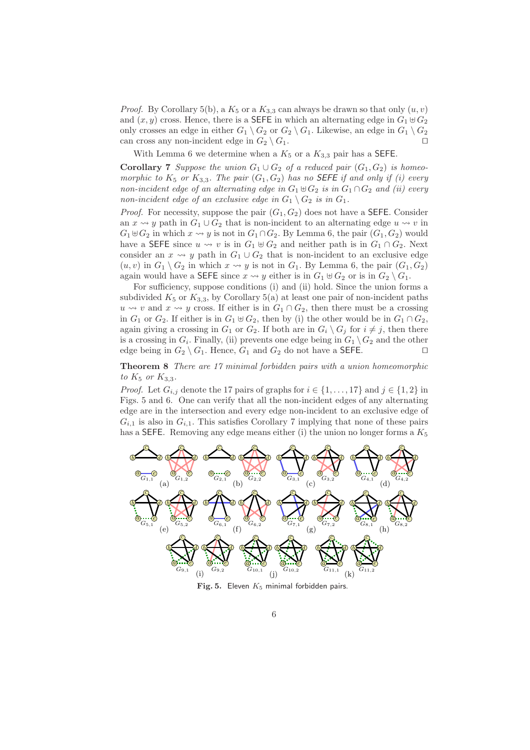*Proof.* By Corollary 5(b), a  $K_5$  or a  $K_{3,3}$  can always be drawn so that only  $(u, v)$ and  $(x, y)$  cross. Hence, there is a SEFE in which an alternating edge in  $G_1 \oplus G_2$ only crosses an edge in either  $G_1 \setminus G_2$  or  $G_2 \setminus G_1$ . Likewise, an edge in  $G_1 \setminus G_2$ can cross any non-incident edge in  $G_2 \setminus G_1$ . □

With Lemma 6 we determine when a  $K_5$  or a  $K_{3,3}$  pair has a SEFE.

**Corollary 7** Suppose the union  $G_1 \cup G_2$  of a reduced pair  $(G_1, G_2)$  is homeomorphic to  $K_5$  or  $K_{3,3}$ . The pair  $(G_1, G_2)$  has no **SEFE** if and only if (i) every non-incident edge of an alternating edge in  $G_1 \oplus G_2$  is in  $G_1 \cap G_2$  and (ii) every non-incident edge of an exclusive edge in  $G_1 \setminus G_2$  is in  $G_1$ .

*Proof.* For necessity, suppose the pair  $(G_1, G_2)$  does not have a SEFE. Consider an  $x \rightsquigarrow y$  path in  $G_1 \cup G_2$  that is non-incident to an alternating edge  $u \rightsquigarrow v$  in  $G_1 \uplus G_2$  in which  $x \leadsto y$  is not in  $G_1 \cap G_2$ . By Lemma 6, the pair  $(G_1, G_2)$  would have a SEFE since  $u \rightsquigarrow v$  is in  $G_1 \oplus G_2$  and neither path is in  $G_1 \cap G_2$ . Next consider an  $x \rightsquigarrow y$  path in  $G_1 \cup G_2$  that is non-incident to an exclusive edge  $(u, v)$  in  $G_1 \setminus G_2$  in which  $x \leadsto y$  is not in  $G_1$ . By Lemma 6, the pair  $(G_1, G_2)$ again would have a SEFE since  $x \rightsquigarrow y$  either is in  $G_1 \uplus G_2$  or is in  $G_2 \setminus G_1$ .

For sufficiency, suppose conditions (i) and (ii) hold. Since the union forms a subdivided  $K_5$  or  $K_{3,3}$ , by Corollary 5(a) at least one pair of non-incident paths  $u \rightsquigarrow v$  and  $x \rightsquigarrow y$  cross. If either is in  $G_1 \cap G_2$ , then there must be a crossing in  $G_1$  or  $G_2$ . If either is in  $G_1 \uplus G_2$ , then by (i) the other would be in  $G_1 \cap G_2$ , again giving a crossing in  $G_1$  or  $G_2$ . If both are in  $G_i \setminus G_j$  for  $i \neq j$ , then there is a crossing in  $G_i$ . Finally, (ii) prevents one edge being in  $G_1 \setminus G_2$  and the other edge being in  $G_2 \setminus G_1$ . Hence,  $G_1$  and  $G_2$  do not have a SEFE. □

Theorem 8 There are 17 minimal forbidden pairs with a union homeomorphic to  $K_5$  or  $K_{3,3}$ .

*Proof.* Let  $G_{i,j}$  denote the 17 pairs of graphs for  $i \in \{1, \ldots, 17\}$  and  $j \in \{1, 2\}$  in Figs. 5 and 6. One can verify that all the non-incident edges of any alternating edge are in the intersection and every edge non-incident to an exclusive edge of  $G_{i,1}$  is also in  $G_{i,1}$ . This satisfies Corollary 7 implying that none of these pairs has a SEFE. Removing any edge means either (i) the union no longer forms a  $K_5$ 



Fig. 5. Eleven  $K_5$  minimal forbidden pairs.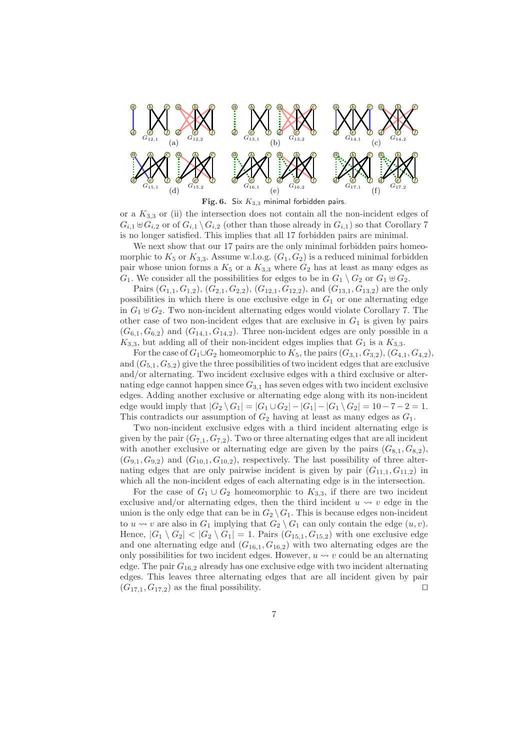

Fig. 6. Six  $K_{3,3}$  minimal forbidden pairs.

or a  $K_{3,3}$  or (ii) the intersection does not contain all the non-incident edges of  $G_{i,1} \,\,\forall\, G_{i,2}$  or of  $G_{i,1} \setminus G_{i,2}$  (other than those already in  $G_{i,1}$ ) so that Corollary 7 is no longer satisfied. This implies that all 17 forbidden pairs are minimal.

We next show that our 17 pairs are the only minimal forbidden pairs homeomorphic to  $K_5$  or  $K_{3,3}$ . Assume w.l.o.g.  $(G_1, G_2)$  is a reduced minimal forbidden pair whose union forms a  $K_5$  or a  $K_{3,3}$  where  $G_2$  has at least as many edges as  $G_1$ . We consider all the possibilities for edges to be in  $G_1 \setminus G_2$  or  $G_1 \uplus G_2$ .

Pairs  $(G_{1,1}, G_{1,2}), (G_{2,1}, G_{2,2}), (G_{12,1}, G_{12,2}),$  and  $(G_{13,1}, G_{13,2})$  are the only possibilities in which there is one exclusive edge in  $G_1$  or one alternating edge in  $G_1 \uplus G_2$ . Two non-incident alternating edges would violate Corollary 7. The other case of two non-incident edges that are exclusive in  $G_1$  is given by pairs  $(G_{6,1}, G_{6,2})$  and  $(G_{14,1}, G_{14,2})$ . Three non-incident edges are only possible in a  $K_{3,3}$ , but adding all of their non-incident edges implies that  $G_1$  is a  $K_{3,3}$ .

For the case of  $G_1 \cup G_2$  homeomorphic to  $K_5$ , the pairs  $(G_{3,1}, G_{3,2}), (G_{4,1}, G_{4,2}),$ and  $(G_{5,1}, G_{5,2})$  give the three possibilities of two incident edges that are exclusive and/or alternating. Two incident exclusive edges with a third exclusive or alternating edge cannot happen since  $G_{3,1}$  has seven edges with two incident exclusive edges. Adding another exclusive or alternating edge along with its non-incident edge would imply that  $|G_2 \setminus G_1| = |G_1 \cup G_2| - |G_1| - |G_1 \setminus G_2| = 10 - 7 - 2 = 1$ . This contradicts our assumption of  $G_2$  having at least as many edges as  $G_1$ .

Two non-incident exclusive edges with a third incident alternating edge is given by the pair  $(G_{7,1}, G_{7,2})$ . Two or three alternating edges that are all incident with another exclusive or alternating edge are given by the pairs  $(G_{8,1}, G_{8,2}),$  $(G_{9,1}, G_{9,2})$  and  $(G_{10,1}, G_{10,2})$ , respectively. The last possibility of three alternating edges that are only pairwise incident is given by pair  $(G_{11,1}, G_{11,2})$  in which all the non-incident edges of each alternating edge is in the intersection.

For the case of  $G_1 \cup G_2$  homeomorphic to  $K_{3,3}$ , if there are two incident exclusive and/or alternating edges, then the third incident  $u \rightsquigarrow v$  edge in the union is the only edge that can be in  $G_2 \setminus G_1$ . This is because edges non-incident to  $u \rightsquigarrow v$  are also in  $G_1$  implying that  $G_2 \setminus G_1$  can only contain the edge  $(u, v)$ . Hence,  $|G_1 \setminus G_2|$  <  $|G_2 \setminus G_1|$  = 1. Pairs  $(G_{15,1}, G_{15,2})$  with one exclusive edge and one alternating edge and  $(G_{16,1}, G_{16,2})$  with two alternating edges are the only possibilities for two incident edges. However,  $u \leftrightarrow v$  could be an alternating edge. The pair  $G_{16,2}$  already has one exclusive edge with two incident alternating edges. This leaves three alternating edges that are all incident given by pair  $(G_{17,1}, G_{17,2})$  as the final possibility. □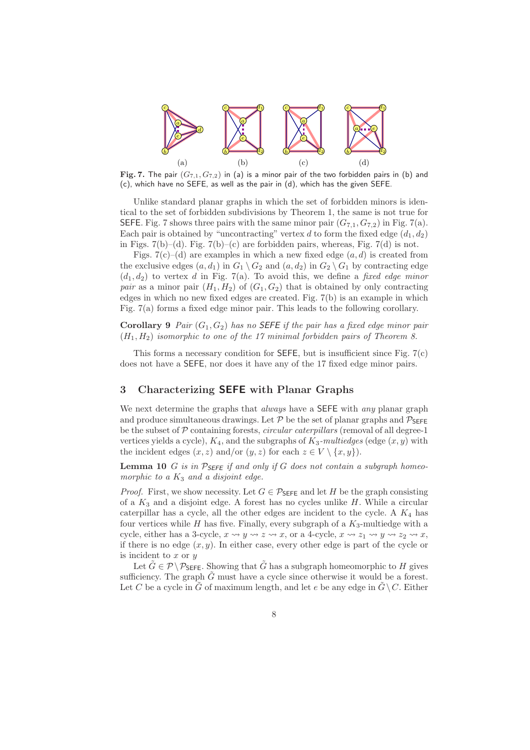

Fig. 7. The pair  $(G_{7,1}, G_{7,2})$  in (a) is a minor pair of the two forbidden pairs in (b) and (c), which have no SEFE, as well as the pair in (d), which has the given SEFE.

Unlike standard planar graphs in which the set of forbidden minors is identical to the set of forbidden subdivisions by Theorem 1, the same is not true for SEFE. Fig. 7 shows three pairs with the same minor pair  $(G_{7,1}, G_{7,2})$  in Fig. 7(a). Each pair is obtained by "uncontracting" vertex d to form the fixed edge  $(d_1, d_2)$ in Figs. 7(b)–(d). Fig. 7(b)–(c) are forbidden pairs, whereas, Fig. 7(d) is not.

Figs. 7(c)–(d) are examples in which a new fixed edge  $(a, d)$  is created from the exclusive edges  $(a, d_1)$  in  $G_1 \setminus G_2$  and  $(a, d_2)$  in  $G_2 \setminus G_1$  by contracting edge  $(d_1, d_2)$  to vertex d in Fig. 7(a). To avoid this, we define a fixed edge minor pair as a minor pair  $(H_1, H_2)$  of  $(G_1, G_2)$  that is obtained by only contracting edges in which no new fixed edges are created. Fig. 7(b) is an example in which Fig. 7(a) forms a fixed edge minor pair. This leads to the following corollary.

Corollary 9 Pair  $(G_1, G_2)$  has no SEFE if the pair has a fixed edge minor pair  $(H_1, H_2)$  isomorphic to one of the 17 minimal forbidden pairs of Theorem 8.

This forms a necessary condition for **SEFE**, but is insufficient since Fig.  $7(c)$ does not have a SEFE, nor does it have any of the 17 fixed edge minor pairs.

## 3 Characterizing SEFE with Planar Graphs

We next determine the graphs that *always* have a **SEFE** with *any* planar graph and produce simultaneous drawings. Let  $P$  be the set of planar graphs and  $P_{\text{SFFF}}$ be the subset of  $P$  containing forests, *circular caterpillars* (removal of all degree-1 vertices yields a cycle),  $K_4$ , and the subgraphs of  $K_3$ -multiedges (edge  $(x, y)$  with the incident edges  $(x, z)$  and/or  $(y, z)$  for each  $z \in V \setminus \{x, y\}$ .

**Lemma 10** G is in  $P_{\text{SEFE}}$  if and only if G does not contain a subgraph homeomorphic to a  $K_3$  and a disjoint edge.

*Proof.* First, we show necessity. Let  $G \in \mathcal{P}_{\mathsf{SEFE}}$  and let H be the graph consisting of a  $K_3$  and a disjoint edge. A forest has no cycles unlike H. While a circular caterpillar has a cycle, all the other edges are incident to the cycle. A  $K_4$  has four vertices while H has five. Finally, every subgraph of a  $K_3$ -multiedge with a cycle, either has a 3-cycle,  $x \rightsquigarrow y \rightsquigarrow z \rightsquigarrow x$ , or a 4-cycle,  $x \rightsquigarrow z_1 \rightsquigarrow y \rightsquigarrow z_2 \rightsquigarrow x$ , if there is no edge  $(x, y)$ . In either case, every other edge is part of the cycle or is incident to  $x$  or  $y$ 

Let  $\tilde{G} \in \mathcal{P} \setminus \mathcal{P}_{\mathsf{SEFE}}$ . Showing that  $\tilde{G}$  has a subgraph homeomorphic to H gives sufficiency. The graph  $\tilde{G}$  must have a cycle since otherwise it would be a forest. Let C be a cycle in  $\tilde{G}$  of maximum length, and let e be any edge in  $\tilde{G} \setminus C$ . Either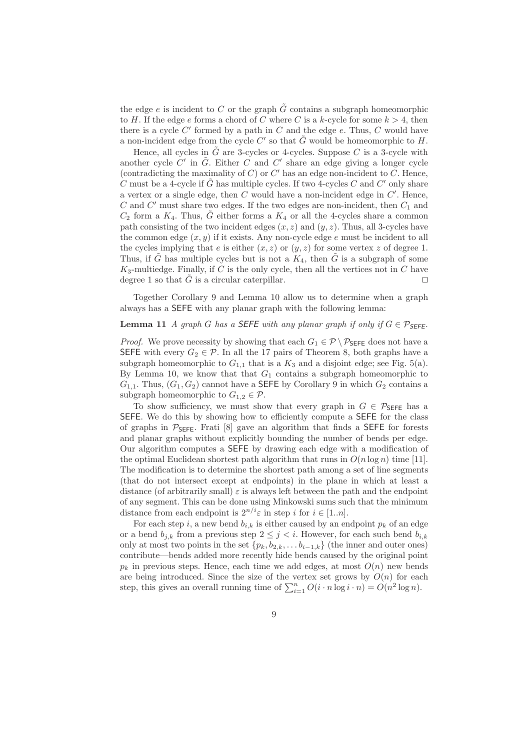the edge e is incident to C or the graph  $\tilde{G}$  contains a subgraph homeomorphic to H. If the edge e forms a chord of C where C is a k-cycle for some  $k > 4$ , then there is a cycle  $C'$  formed by a path in  $C$  and the edge  $e$ . Thus,  $C$  would have a non-incident edge from the cycle  $C'$  so that  $\tilde{G}$  would be homeomorphic to H.

Hence, all cycles in  $\tilde{G}$  are 3-cycles or 4-cycles. Suppose C is a 3-cycle with another cycle  $\check{C}'$  in  $\tilde{G}$ . Either  $\check{C}$  and  $C'$  share an edge giving a longer cycle (contradicting the maximality of  $C$ ) or  $C'$  has an edge non-incident to  $\tilde{C}$ . Hence, C must be a 4-cycle if  $\tilde{G}$  has multiple cycles. If two 4-cycles C and C' only share a vertex or a single edge, then  $C$  would have a non-incident edge in  $C'$ . Hence,  $C$  and  $C'$  must share two edges. If the two edges are non-incident, then  $C_1$  and  $C_2$  form a  $K_4$ . Thus,  $\tilde{G}$  either forms a  $K_4$  or all the 4-cycles share a common path consisting of the two incident edges  $(x, z)$  and  $(y, z)$ . Thus, all 3-cycles have the common edge  $(x, y)$  if it exists. Any non-cycle edge e must be incident to all the cycles implying that e is either  $(x, z)$  or  $(y, z)$  for some vertex z of degree 1. Thus, if  $\tilde{G}$  has multiple cycles but is not a  $K_4$ , then  $\tilde{G}$  is a subgraph of some  $K_3$ -multiedge. Finally, if C is the only cycle, then all the vertices not in C have degree 1 so that  $\tilde{G}$  is a circular caterpillar. □

Together Corollary 9 and Lemma 10 allow us to determine when a graph always has a SEFE with any planar graph with the following lemma:

#### **Lemma 11** A graph G has a **SEFE** with any planar graph if only if  $G \in \mathcal{P}_{\mathsf{SEFE}}$ .

*Proof.* We prove necessity by showing that each  $G_1 \in \mathcal{P} \setminus \mathcal{P}_{\mathsf{SEFE}}$  does not have a SEFE with every  $G_2 \in \mathcal{P}$ . In all the 17 pairs of Theorem 8, both graphs have a subgraph homeomorphic to  $G_{1,1}$  that is a  $K_3$  and a disjoint edge; see Fig. 5(a). By Lemma 10, we know that that  $G_1$  contains a subgraph homeomorphic to  $G_{1,1}$ . Thus,  $(G_1, G_2)$  cannot have a SEFE by Corollary 9 in which  $G_2$  contains a subgraph homeomorphic to  $G_{1,2} \in \mathcal{P}$ .

To show sufficiency, we must show that every graph in  $G \in \mathcal{P}_{\mathsf{SFFF}}$  has a SEFE. We do this by showing how to efficiently compute a SEFE for the class of graphs in  $P_{\text{SFFF}}$ . Frati [8] gave an algorithm that finds a SEFE for forests and planar graphs without explicitly bounding the number of bends per edge. Our algorithm computes a SEFE by drawing each edge with a modification of the optimal Euclidean shortest path algorithm that runs in  $O(n \log n)$  time [11]. The modification is to determine the shortest path among a set of line segments (that do not intersect except at endpoints) in the plane in which at least a distance (of arbitrarily small)  $\varepsilon$  is always left between the path and the endpoint of any segment. This can be done using Minkowski sums such that the minimum distance from each endpoint is  $2^{n/i} \varepsilon$  in step i for  $i \in [1..n]$ .

For each step i, a new bend  $b_{i,k}$  is either caused by an endpoint  $p_k$  of an edge or a bend  $b_{i,k}$  from a previous step  $2 \leq j \leq i$ . However, for each such bend  $b_{i,k}$ only at most two points in the set  $\{p_k, b_{2,k}, \ldots, b_{i-1,k}\}$  (the inner and outer ones) contribute—bends added more recently hide bends caused by the original point  $p_k$  in previous steps. Hence, each time we add edges, at most  $O(n)$  new bends are being introduced. Since the size of the vertex set grows by  $O(n)$  for each step, this gives an overall running time of  $\sum_{i=1}^{n} O(i \cdot n \log i \cdot n) = O(n^2 \log n)$ .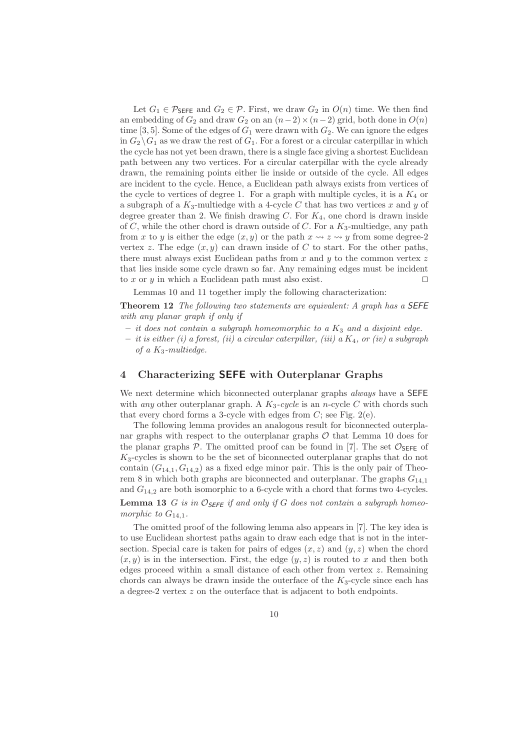Let  $G_1 \in \mathcal{P}_{\text{SEFE}}$  and  $G_2 \in \mathcal{P}$ . First, we draw  $G_2$  in  $O(n)$  time. We then find an embedding of  $G_2$  and draw  $G_2$  on an  $(n-2) \times (n-2)$  grid, both done in  $O(n)$ time [3, 5]. Some of the edges of  $G_1$  were drawn with  $G_2$ . We can ignore the edges in  $G_2 \backslash G_1$  as we draw the rest of  $G_1$ . For a forest or a circular caterpillar in which the cycle has not yet been drawn, there is a single face giving a shortest Euclidean path between any two vertices. For a circular caterpillar with the cycle already drawn, the remaining points either lie inside or outside of the cycle. All edges are incident to the cycle. Hence, a Euclidean path always exists from vertices of the cycle to vertices of degree 1. For a graph with multiple cycles, it is a  $K_4$  or a subgraph of a  $K_3$ -multiedge with a 4-cycle C that has two vertices x and y of degree greater than 2. We finish drawing  $C$ . For  $K_4$ , one chord is drawn inside of C, while the other chord is drawn outside of C. For a  $K_3$ -multiedge, any path from x to y is either the edge  $(x, y)$  or the path  $x \rightarrow x \rightarrow y$  from some degree-2 vertex z. The edge  $(x, y)$  can drawn inside of C to start. For the other paths, there must always exist Euclidean paths from  $x$  and  $y$  to the common vertex  $z$ that lies inside some cycle drawn so far. Any remaining edges must be incident to x or y in which a Euclidean path must also exist. □

Lemmas 10 and 11 together imply the following characterization:

Theorem 12 The following two statements are equivalent: A graph has a SEFE with any planar graph if only if

- $-$  it does not contain a subgraph homeomorphic to a  $K_3$  and a disjoint edge.
- $-$  it is either (i) a forest, (ii) a circular caterpillar, (iii) a  $K_4$ , or (iv) a subgraph of a  $K_3$ -multiedge.

# 4 Characterizing SEFE with Outerplanar Graphs

We next determine which biconnected outerplanar graphs *always* have a SEFE with any other outerplanar graph. A  $K_3$ -cycle is an n-cycle C with chords such that every chord forms a 3-cycle with edges from  $C$ ; see Fig. 2(e).

The following lemma provides an analogous result for biconnected outerplanar graphs with respect to the outerplanar graphs  $\mathcal O$  that Lemma 10 does for the planar graphs  $\mathcal{P}$ . The omitted proof can be found in [7]. The set  $\mathcal{O}_{\mathsf{SEFE}}$  of  $K_3$ -cycles is shown to be the set of biconnected outerplanar graphs that do not contain  $(G_{14,1}, G_{14,2})$  as a fixed edge minor pair. This is the only pair of Theorem 8 in which both graphs are biconnected and outerplanar. The graphs  $G_{14,1}$ and  $G_{14,2}$  are both isomorphic to a 6-cycle with a chord that forms two 4-cycles.

# **Lemma 13** G is in  $\mathcal{O}_{\mathsf{SFE}}$  if and only if G does not contain a subgraph homeomorphic to  $G_{14,1}$ .

The omitted proof of the following lemma also appears in [7]. The key idea is to use Euclidean shortest paths again to draw each edge that is not in the intersection. Special care is taken for pairs of edges  $(x, z)$  and  $(y, z)$  when the chord  $(x, y)$  is in the intersection. First, the edge  $(y, z)$  is routed to x and then both edges proceed within a small distance of each other from vertex  $z$ . Remaining chords can always be drawn inside the outerface of the  $K_3$ -cycle since each has a degree-2 vertex z on the outerface that is adjacent to both endpoints.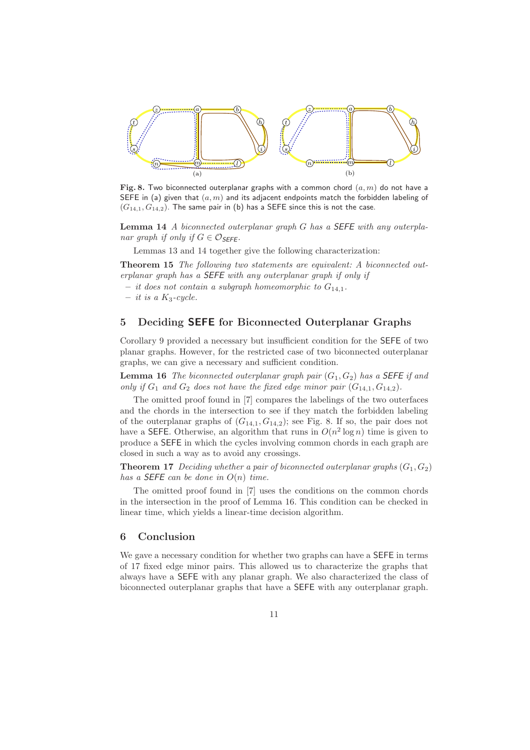

Fig. 8. Two biconnected outerplanar graphs with a common chord  $(a, m)$  do not have a SEFE in (a) given that  $(a, m)$  and its adjacent endpoints match the forbidden labeling of  $(G_{14,1}, G_{14,2})$ . The same pair in (b) has a SEFE since this is not the case.

Lemma 14 A biconnected outerplanar graph G has a SEFE with any outerplanar graph if only if  $G \in \mathcal{O}_{\mathsf{SEFE}}$ .

Lemmas 13 and 14 together give the following characterization:

Theorem 15 The following two statements are equivalent: A biconnected outerplanar graph has a SEFE with any outerplanar graph if only if

– it does not contain a subgraph homeomorphic to  $G_{14,1}$ .

 $-$  it is a  $K_3$ -cycle.

# 5 Deciding SEFE for Biconnected Outerplanar Graphs

Corollary 9 provided a necessary but insufficient condition for the SEFE of two planar graphs. However, for the restricted case of two biconnected outerplanar graphs, we can give a necessary and sufficient condition.

**Lemma 16** The biconnected outerplanar graph pair  $(G_1, G_2)$  has a **SEFE** if and only if  $G_1$  and  $G_2$  does not have the fixed edge minor pair  $(G_{14,1}, G_{14,2})$ .

The omitted proof found in [7] compares the labelings of the two outerfaces and the chords in the intersection to see if they match the forbidden labeling of the outerplanar graphs of  $(G_{14,1}, G_{14,2})$ ; see Fig. 8. If so, the pair does not have a SEFE. Otherwise, an algorithm that runs in  $O(n^2 \log n)$  time is given to produce a SEFE in which the cycles involving common chords in each graph are closed in such a way as to avoid any crossings.

**Theorem 17** Deciding whether a pair of biconnected outerplanar graphs  $(G_1, G_2)$ has a **SEFE** can be done in  $O(n)$  time.

The omitted proof found in [7] uses the conditions on the common chords in the intersection in the proof of Lemma 16. This condition can be checked in linear time, which yields a linear-time decision algorithm.

### 6 Conclusion

We gave a necessary condition for whether two graphs can have a SEFE in terms of 17 fixed edge minor pairs. This allowed us to characterize the graphs that always have a SEFE with any planar graph. We also characterized the class of biconnected outerplanar graphs that have a SEFE with any outerplanar graph.